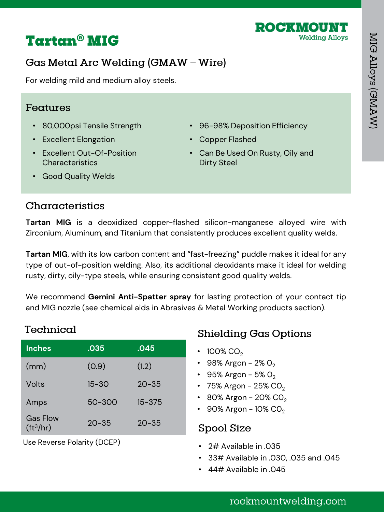

# **Tartan<sup>®</sup> MIG**

# Gas Metal Arc Welding (GMAW - Wire)

For welding mild and medium alloy steels.

#### Features

- 80,000psi Tensile Strength
- Excellent Elongation
- Excellent Out-Of-Position Characteristics
- 96-98% Deposition Efficiency
- Copper Flashed
- Can Be Used On Rusty, Oily and Dirty Steel

• Good Quality Welds

#### Characteristics

**Tartan MIG** is a deoxidized copper-flashed silicon-manganese alloyed wire with Zirconium, Aluminum, and Titanium that consistently produces excellent quality welds.

**Tartan MIG**, with its low carbon content and "fast-freezing" puddle makes it ideal for any type of out-of-position welding. Also, its additional deoxidants make it ideal for welding rusty, dirty, oily-type steels, while ensuring consistent good quality welds.

We recommend **Gemini Anti-Spatter spray** for lasting protection of your contact tip and MIG nozzle (see chemical aids in Abrasives & Metal Working products section).

## Technical

| <b>Inches</b>                  | .035      | .045       |
|--------------------------------|-----------|------------|
| (mm)                           | (0.9)     | (1.2)      |
| Volts                          | $15 - 30$ | $20 - 35$  |
| Amps                           | 50-300    | $15 - 375$ |
| <b>Gas Flow</b><br>$(ft^3/hr)$ | $20 - 35$ | $20 - 35$  |

Use Reverse Polarity (DCEP)

# **Shielding Gas Options**

- 100% CO<sub>2</sub>
- 98% Argon 2%  $O_2$
- 95% Argon 5%  $O_2$
- 75% Argon 25%  $CO<sub>2</sub>$
- 80% Argon 20%  $CO<sub>2</sub>$
- 90% Argon  $10\%$  CO<sub>2</sub>

#### Spool Size

- 2# Available in .035
- 33# Available in .030, .035 and .045
- 44# Available in .045

## rockmountwelding.com